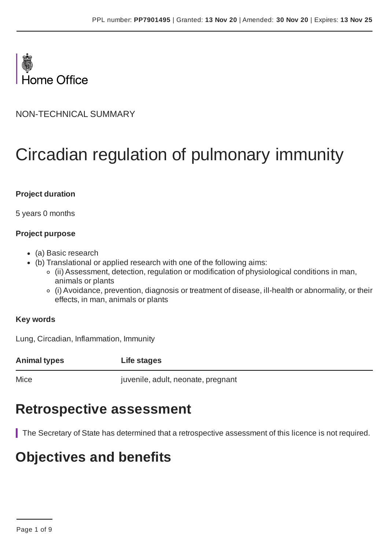

NON-TECHNICAL SUMMARY

# Circadian regulation of pulmonary immunity

#### **Project duration**

5 years 0 months

#### **Project purpose**

- (a) Basic research
- (b) Translational or applied research with one of the following aims:
	- (ii) Assessment, detection, regulation or modification of physiological conditions in man, animals or plants
	- (i) Avoidance, prevention, diagnosis or treatment of disease, ill-health or abnormality, or their effects, in man, animals or plants

#### **Key words**

Lung, Circadian, Inflammation, Immunity

**Animal types Life stages**

Mice juvenile, adult, neonate, pregnant

# **Retrospective assessment**

The Secretary of State has determined that a retrospective assessment of this licence is not required.

### **Objectives and benefits**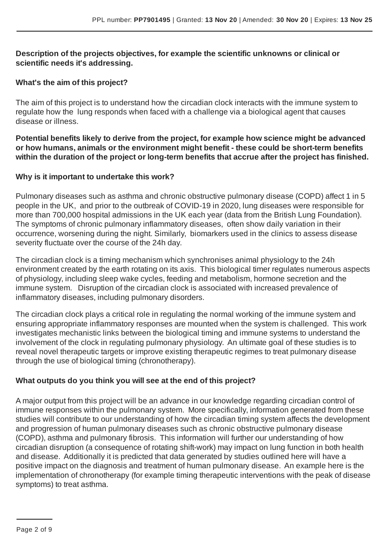#### **Description of the projects objectives, for example the scientific unknowns or clinical or scientific needs it's addressing.**

#### **What's the aim of this project?**

The aim of this project is to understand how the circadian clock interacts with the immune system to regulate how the lung responds when faced with a challenge via a biological agent that causes disease or illness.

**Potential benefits likely to derive from the project, for example how science might be advanced or how humans, animals or the environment might benefit - these could be short-term benefits within the duration of the project or long-term benefits that accrue after the project has finished.**

#### **Why is it important to undertake this work?**

Pulmonary diseases such as asthma and chronic obstructive pulmonary disease (COPD) affect 1 in 5 people in the UK, and prior to the outbreak of COVID-19 in 2020, lung diseases were responsible for more than 700,000 hospital admissions in the UK each year (data from the British Lung Foundation). The symptoms of chronic pulmonary inflammatory diseases, often show daily variation in their occurrence, worsening during the night. Similarly, biomarkers used in the clinics to assess disease severity fluctuate over the course of the 24h day.

The circadian clock is a timing mechanism which synchronises animal physiology to the 24h environment created by the earth rotating on its axis. This biological timer regulates numerous aspects of physiology, including sleep wake cycles, feeding and metabolism, hormone secretion and the immune system. Disruption of the circadian clock is associated with increased prevalence of inflammatory diseases, including pulmonary disorders.

The circadian clock plays a critical role in regulating the normal working of the immune system and ensuring appropriate inflammatory responses are mounted when the system is challenged. This work investigates mechanistic links between the biological timing and immune systems to understand the involvement of the clock in regulating pulmonary physiology. An ultimate goal of these studies is to reveal novel therapeutic targets or improve existing therapeutic regimes to treat pulmonary disease through the use of biological timing (chronotherapy).

#### **What outputs do you think you will see at the end of this project?**

A major output from this project will be an advance in our knowledge regarding circadian control of immune responses within the pulmonary system. More specifically, information generated from these studies will contribute to our understanding of how the circadian timing system affects the development and progression of human pulmonary diseases such as chronic obstructive pulmonary disease (COPD), asthma and pulmonary fibrosis. This information will further our understanding of how circadian disruption (a consequence of rotating shift-work) may impact on lung function in both health and disease. Additionally it is predicted that data generated by studies outlined here will have a positive impact on the diagnosis and treatment of human pulmonary disease. An example here is the implementation of chronotherapy (for example timing therapeutic interventions with the peak of disease symptoms) to treat asthma.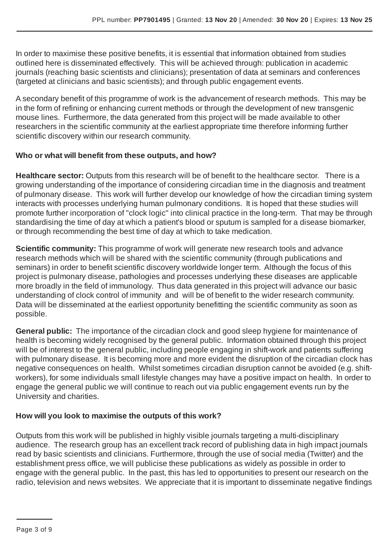In order to maximise these positive benefits, it is essential that information obtained from studies outlined here is disseminated effectively. This will be achieved through: publication in academic journals (reaching basic scientists and clinicians); presentation of data at seminars and conferences (targeted at clinicians and basic scientists); and through public engagement events.

A secondary benefit of this programme of work is the advancement of research methods. This may be in the form of refining or enhancing current methods or through the development of new transgenic mouse lines. Furthermore, the data generated from this project will be made available to other researchers in the scientific community at the earliest appropriate time therefore informing further scientific discovery within our research community.

#### **Who or what will benefit from these outputs, and how?**

**Healthcare sector:** Outputs from this research will be of benefit to the healthcare sector. There is a growing understanding of the importance of considering circadian time in the diagnosis and treatment of pulmonary disease. This work will further develop our knowledge of how the circadian timing system interacts with processes underlying human pulmonary conditions. It is hoped that these studies will promote further incorporation of "clock logic" into clinical practice in the long-term. That may be through standardising the time of day at which a patient's blood or sputum is sampled for a disease biomarker, or through recommending the best time of day at which to take medication.

**Scientific community:** This programme of work will generate new research tools and advance research methods which will be shared with the scientific community (through publications and seminars) in order to benefit scientific discovery worldwide longer term. Although the focus of this project is pulmonary disease, pathologies and processes underlying these diseases are applicable more broadly in the field of immunology. Thus data generated in this project will advance our basic understanding of clock control of immunity and will be of benefit to the wider research community. Data will be disseminated at the earliest opportunity benefitting the scientific community as soon as possible.

**General public:** The importance of the circadian clock and good sleep hygiene for maintenance of health is becoming widely recognised by the general public. Information obtained through this project will be of interest to the general public, including people engaging in shift-work and patients suffering with pulmonary disease. It is becoming more and more evident the disruption of the circadian clock has negative consequences on health. Whilst sometimes circadian disruption cannot be avoided (e.g. shiftworkers), for some individuals small lifestyle changes may have a positive impact on health. In order to engage the general public we will continue to reach out via public engagement events run by the University and charities.

#### **How will you look to maximise the outputs of this work?**

Outputs from this work will be published in highly visible journals targeting a multi-disciplinary audience. The research group has an excellent track record of publishing data in high impact journals read by basic scientists and clinicians. Furthermore, through the use of social media (Twitter) and the establishment press office, we will publicise these publications as widely as possible in order to engage with the general public. In the past, this has led to opportunities to present our research on the radio, television and news websites. We appreciate that it is important to disseminate negative findings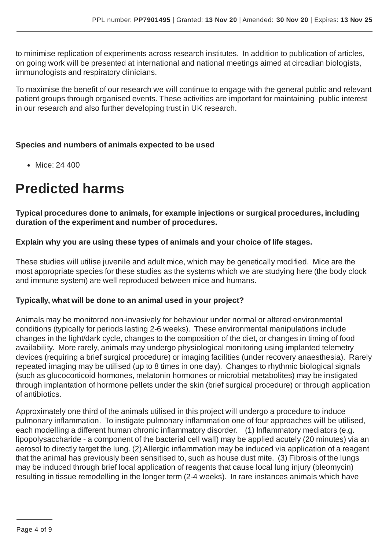to minimise replication of experiments across research institutes. In addition to publication of articles, on going work will be presented at international and national meetings aimed at circadian biologists, immunologists and respiratory clinicians.

To maximise the benefit of our research we will continue to engage with the general public and relevant patient groups through organised events. These activities are important for maintaining public interest in our research and also further developing trust in UK research.

#### **Species and numbers of animals expected to be used**

• Mice: 24 400

# **Predicted harms**

**Typical procedures done to animals, for example injections or surgical procedures, including duration of the experiment and number of procedures.**

#### **Explain why you are using these types of animals and your choice of life stages.**

These studies will utilise juvenile and adult mice, which may be genetically modified. Mice are the most appropriate species for these studies as the systems which we are studying here (the body clock and immune system) are well reproduced between mice and humans.

#### **Typically, what will be done to an animal used in your project?**

Animals may be monitored non-invasively for behaviour under normal or altered environmental conditions (typically for periods lasting 2-6 weeks). These environmental manipulations include changes in the light/dark cycle, changes to the composition of the diet, or changes in timing of food availability. More rarely, animals may undergo physiological monitoring using implanted telemetry devices (requiring a brief surgical procedure) or imaging facilities (under recovery anaesthesia). Rarely repeated imaging may be utilised (up to 8 times in one day). Changes to rhythmic biological signals (such as glucocorticoid hormones, melatonin hormones or microbial metabolites) may be instigated through implantation of hormone pellets under the skin (brief surgical procedure) or through application of antibiotics.

Approximately one third of the animals utilised in this project will undergo a procedure to induce pulmonary inflammation. To instigate pulmonary inflammation one of four approaches will be utilised, each modelling a different human chronic inflammatory disorder. (1) Inflammatory mediators (e.g. lipopolysaccharide - a component of the bacterial cell wall) may be applied acutely (20 minutes) via an aerosol to directly target the lung. (2) Allergic inflammation may be induced via application of a reagent that the animal has previously been sensitised to, such as house dust mite. (3) Fibrosis of the lungs may be induced through brief local application of reagents that cause local lung injury (bleomycin) resulting in tissue remodelling in the longer term (2-4 weeks). In rare instances animals which have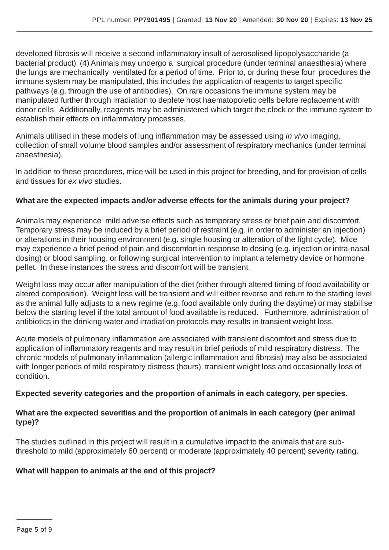developed fibrosis will receive a second inflammatory insult of aerosolised lipopolysaccharide (a bacterial product). (4) Animals may undergo a surgical procedure (under terminal anaesthesia) where the lungs are mechanically ventilated for a period of time. Prior to, or during these four procedures the immune system may be manipulated, this includes the application of reagents to target specific pathways (e.g. through the use of antibodies). On rare occasions the immune system may be manipulated further through irradiation to deplete host haematopoietic cells before replacement with donor cells. Additionally, reagents may be administered which target the clock or the immune system to establish their effects on inflammatory processes.

Animals utilised in these models of lung inflammation may be assessed using *in vivo* imaging, collection of small volume blood samples and/or assessment of respiratory mechanics (under terminal anaesthesia).

In addition to these procedures, mice will be used in this project for breeding, and for provision of cells and tissues for *ex vivo* studies.

#### **What are the expected impacts and/or adverse effects for the animals during your project?**

Animals may experience mild adverse effects such as temporary stress or brief pain and discomfort. Temporary stress may be induced by a brief period of restraint (e.g. in order to administer an injection) or alterations in their housing environment (e.g. single housing or alteration of the light cycle). Mice may experience a brief period of pain and discomfort in response to dosing (e.g. injection or intra-nasal dosing) or blood sampling, or following surgical intervention to implant a telemetry device or hormone pellet. In these instances the stress and discomfort will be transient.

Weight loss may occur after manipulation of the diet (either through altered timing of food availability or altered composition). Weight loss will be transient and will either reverse and return to the starting level as the animal fully adjusts to a new regime (e.g. food available only during the daytime) or may stabilise below the starting level if the total amount of food available is reduced. Furthermore, administration of antibiotics in the drinking water and irradiation protocols may results in transient weight loss.

Acute models of pulmonary inflammation are associated with transient discomfort and stress due to application of inflammatory reagents and may result in brief periods of mild respiratory distress. The chronic models of pulmonary inflammation (allergic inflammation and fibrosis) may also be associated with longer periods of mild respiratory distress (hours), transient weight loss and occasionally loss of condition.

#### **Expected severity categories and the proportion of animals in each category, per species.**

#### **What are the expected severities and the proportion of animals in each category (per animal type)?**

The studies outlined in this project will result in a cumulative impact to the animals that are subthreshold to mild (approximately 60 percent) or moderate (approximately 40 percent) severity rating.

#### **What will happen to animals at the end of this project?**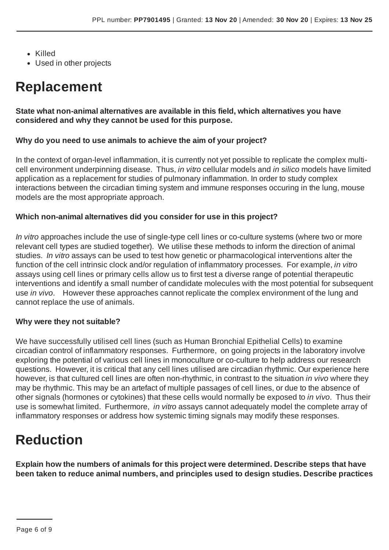- Killed
- Used in other projects

# **Replacement**

#### **State what non-animal alternatives are available in this field, which alternatives you have considered and why they cannot be used for this purpose.**

#### **Why do you need to use animals to achieve the aim of your project?**

In the context of organ-level inflammation, it is currently not yet possible to replicate the complex multicell environment underpinning disease. Thus, *in vitro* cellular models and *in silico* models have limited application as a replacement for studies of pulmonary inflammation. In order to study complex interactions between the circadian timing system and immune responses occuring in the lung, mouse models are the most appropriate approach.

#### **Which non-animal alternatives did you consider for use in this project?**

*In vitro* approaches include the use of single-type cell lines or co-culture systems (where two or more relevant cell types are studied together). We utilise these methods to inform the direction of animal studies. *In vitro* assays can be used to test how genetic or pharmacological interventions alter the function of the cell intrinsic clock and/or regulation of inflammatory processes. For example, *in vitro* assays using cell lines or primary cells allow us to first test a diverse range of potential therapeutic interventions and identify a small number of candidate molecules with the most potential for subsequent use *in vivo*. However these approaches cannot replicate the complex environment of the lung and cannot replace the use of animals.

#### **Why were they not suitable?**

We have successfully utilised cell lines (such as Human Bronchial Epithelial Cells) to examine circadian control of inflammatory responses. Furthermore, on going projects in the laboratory involve exploring the potential of various cell lines in monoculture or co-culture to help address our research questions. However, it is critical that any cell lines utilised are circadian rhythmic. Our experience here however, is that cultured cell lines are often non-rhythmic, in contrast to the situation *in vivo* where they may be rhythmic. This may be an artefact of multiple passages of cell lines, or due to the absence of other signals (hormones or cytokines) that these cells would normally be exposed to *in vivo*. Thus their use is somewhat limited. Furthermore, *in vitro* assays cannot adequately model the complete array of inflammatory responses or address how systemic timing signals may modify these responses.

# **Reduction**

**Explain how the numbers of animals for this project were determined. Describe steps that have been taken to reduce animal numbers, and principles used to design studies. Describe practices**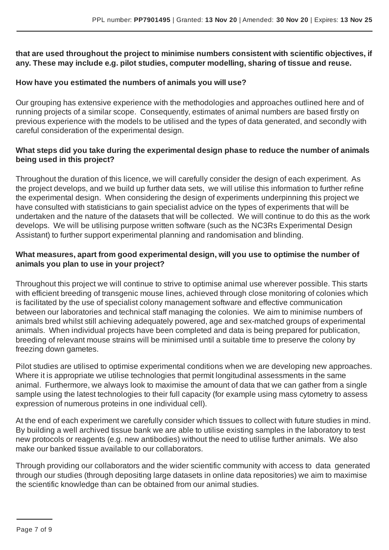#### **that are used throughout the project to minimise numbers consistent with scientific objectives, if any. These may include e.g. pilot studies, computer modelling, sharing of tissue and reuse.**

#### **How have you estimated the numbers of animals you will use?**

Our grouping has extensive experience with the methodologies and approaches outlined here and of running projects of a similar scope. Consequently, estimates of animal numbers are based firstly on previous experience with the models to be utilised and the types of data generated, and secondly with careful consideration of the experimental design.

#### **What steps did you take during the experimental design phase to reduce the number of animals being used in this project?**

Throughout the duration of this licence, we will carefully consider the design of each experiment. As the project develops, and we build up further data sets, we will utilise this information to further refine the experimental design. When considering the design of experiments underpinning this project we have consulted with statisticians to gain specialist advice on the types of experiments that will be undertaken and the nature of the datasets that will be collected. We will continue to do this as the work develops. We will be utilising purpose written software (such as the NC3Rs Experimental Design Assistant) to further support experimental planning and randomisation and blinding.

#### **What measures, apart from good experimental design, will you use to optimise the number of animals you plan to use in your project?**

Throughout this project we will continue to strive to optimise animal use wherever possible. This starts with efficient breeding of transgenic mouse lines, achieved through close monitoring of colonies which is facilitated by the use of specialist colony management software and effective communication between our laboratories and technical staff managing the colonies. We aim to minimise numbers of animals bred whilst still achieving adequately powered, age and sex-matched groups of experimental animals. When individual projects have been completed and data is being prepared for publication, breeding of relevant mouse strains will be minimised until a suitable time to preserve the colony by freezing down gametes.

Pilot studies are utilised to optimise experimental conditions when we are developing new approaches. Where it is appropriate we utilise technologies that permit longitudinal assessments in the same animal. Furthermore, we always look to maximise the amount of data that we can gather from a single sample using the latest technologies to their full capacity (for example using mass cytometry to assess expression of numerous proteins in one individual cell).

At the end of each experiment we carefully consider which tissues to collect with future studies in mind. By building a well archived tissue bank we are able to utilise existing samples in the laboratory to test new protocols or reagents (e.g. new antibodies) without the need to utilise further animals. We also make our banked tissue available to our collaborators.

Through providing our collaborators and the wider scientific community with access to data generated through our studies (through depositing large datasets in online data repositories) we aim to maximise the scientific knowledge than can be obtained from our animal studies.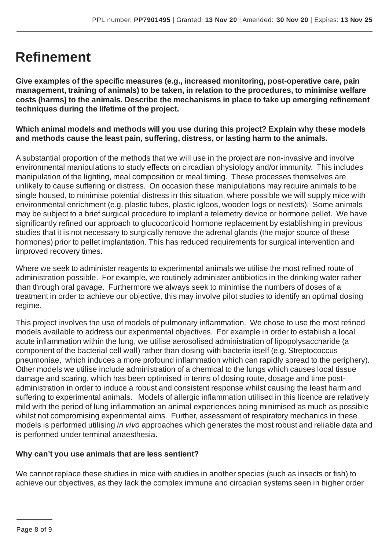# **Refinement**

**Give examples of the specific measures (e.g., increased monitoring, post-operative care, pain management, training of animals) to be taken, in relation to the procedures, to minimise welfare costs (harms) to the animals. Describe the mechanisms in place to take up emerging refinement techniques during the lifetime of the project.**

**Which animal models and methods will you use during this project? Explain why these models and methods cause the least pain, suffering, distress, or lasting harm to the animals.**

A substantial proportion of the methods that we will use in the project are non-invasive and involve environmental manipulations to study effects on circadian physiology and/or immunity. This includes manipulation of the lighting, meal composition or meal timing. These processes themselves are unlikely to cause suffering or distress. On occasion these manipulations may require animals to be single housed, to minimise potential distress in this situation, where possible we will supply mice with environmental enrichment (e.g. plastic tubes, plastic igloos, wooden logs or nestlets). Some animals may be subject to a brief surgical procedure to implant a telemetry device or hormone pellet. We have significantly refined our approach to glucocorticoid hormone replacement by establishing in previous studies that it is not necessary to surgically remove the adrenal glands (the major source of these hormones) prior to pellet implantation. This has reduced requirements for surgical intervention and improved recovery times.

Where we seek to administer reagents to experimental animals we utilise the most refined route of administration possible. For example, we routinely administer antibiotics in the drinking water rather than through oral gavage. Furthermore we always seek to minimise the numbers of doses of a treatment in order to achieve our objective, this may involve pilot studies to identify an optimal dosing regime.

This project involves the use of models of pulmonary inflammation. We chose to use the most refined models available to address our experimental objectives. For example in order to establish a local acute inflammation within the lung, we utilise aerosolised administration of lipopolysaccharide (a component of the bacterial cell wall) rather than dosing with bacteria itself (e.g. Streptococcus pneumoniae, which induces a more profound inflammation which can rapidly spread to the periphery). Other models we utilise include administration of a chemical to the lungs which causes local tissue damage and scaring, which has been optimised in terms of dosing route, dosage and time postadministration in order to induce a robust and consistent response whilst causing the least harm and suffering to experimental animals. Models of allergic inflammation utilised in this licence are relatively mild with the period of lung inflammation an animal experiences being minimised as much as possible whilst not compromising experimental aims. Further, assessment of respiratory mechanics in these models is performed utilising *in vivo* approaches which generates the most robust and reliable data and is performed under terminal anaesthesia.

#### **Why can't you use animals that are less sentient?**

We cannot replace these studies in mice with studies in another species (such as insects or fish) to achieve our objectives, as they lack the complex immune and circadian systems seen in higher order